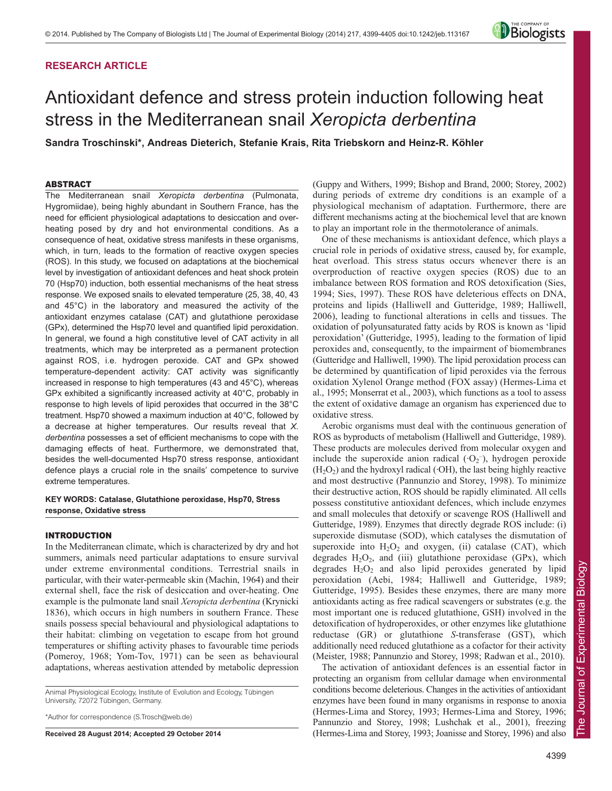# **RESEARCH ARTICLE**



# Antioxidant defence and stress protein induction following heat stress in the Mediterranean snail *Xeropicta derbentina*

**Sandra Troschinski\*, Andreas Dieterich, Stefanie Krais, Rita Triebskorn and Heinz-R. Köhler**

#### ABSTRACT

The Mediterranean snail *Xeropicta derbentina* (Pulmonata, Hygromiidae), being highly abundant in Southern France, has the need for efficient physiological adaptations to desiccation and overheating posed by dry and hot environmental conditions. As a consequence of heat, oxidative stress manifests in these organisms, which, in turn, leads to the formation of reactive oxygen species (ROS). In this study, we focused on adaptations at the biochemical level by investigation of antioxidant defences and heat shock protein 70 (Hsp70) induction, both essential mechanisms of the heat stress response. We exposed snails to elevated temperature (25, 38, 40, 43 and 45°C) in the laboratory and measured the activity of the antioxidant enzymes catalase (CAT) and glutathione peroxidase (GPx), determined the Hsp70 level and quantified lipid peroxidation. In general, we found a high constitutive level of CAT activity in all treatments, which may be interpreted as a permanent protection against ROS, i.e. hydrogen peroxide. CAT and GPx showed temperature-dependent activity: CAT activity was significantly increased in response to high temperatures (43 and 45°C), whereas GPx exhibited a significantly increased activity at 40°C, probably in response to high levels of lipid peroxides that occurred in the 38°C treatment. Hsp70 showed a maximum induction at 40°C, followed by a decrease at higher temperatures. Our results reveal that *X. derbentina* possesses a set of efficient mechanisms to cope with the damaging effects of heat. Furthermore, we demonstrated that, besides the well-documented Hsp70 stress response, antioxidant defence plays a crucial role in the snails' competence to survive extreme temperatures.

#### **KEY WORDS: Catalase, Glutathione peroxidase, Hsp70, Stress response, Oxidative stress**

#### INTRODUCTION

In the Mediterranean climate, which is characterized by dry and hot summers, animals need particular adaptations to ensure survival under extreme environmental conditions. Terrestrial snails in particular, with their water-permeable skin (Machin, 1964) and their external shell, face the risk of desiccation and over-heating. One example is the pulmonate land snail *Xeropicta derbentina* (Krynicki 1836), which occurs in high numbers in southern France. These snails possess special behavioural and physiological adaptations to their habitat: climbing on vegetation to escape from hot ground temperatures or shifting activity phases to favourable time periods (Pomeroy, 1968; Yom-Tov, 1971) can be seen as behavioural adaptations, whereas aestivation attended by metabolic depression

Animal Physiological Ecology, Institute of Evolution and Ecology, Tübingen University, 72072 Tübingen, Germany.

\*Author for correspondence (S.Trosch@web.de)

**Received 28 August 2014; Accepted 29 October 2014**

(Guppy and Withers, 1999; Bishop and Brand, 2000; Storey, 2002) during periods of extreme dry conditions is an example of a physiological mechanism of adaptation. Furthermore, there are different mechanisms acting at the biochemical level that are known to play an important role in the thermotolerance of animals.

One of these mechanisms is antioxidant defence, which plays a crucial role in periods of oxidative stress, caused by, for example, heat overload. This stress status occurs whenever there is an overproduction of reactive oxygen species (ROS) due to an imbalance between ROS formation and ROS detoxification (Sies, 1994; Sies, 1997). These ROS have deleterious effects on DNA, proteins and lipids (Halliwell and Gutteridge, 1989; Halliwell, 2006), leading to functional alterations in cells and tissues. The oxidation of polyunsaturated fatty acids by ROS is known as 'lipid peroxidation' (Gutteridge, 1995), leading to the formation of lipid peroxides and, consequently, to the impairment of biomembranes (Gutteridge and Halliwell, 1990). The lipid peroxidation process can be determined by quantification of lipid peroxides via the ferrous oxidation Xylenol Orange method (FOX assay) (Hermes-Lima et al., 1995; Monserrat et al., 2003), which functions as a tool to assess the extent of oxidative damage an organism has experienced due to oxidative stress.

Aerobic organisms must deal with the continuous generation of ROS as byproducts of metabolism (Halliwell and Gutteridge, 1989). These products are molecules derived from molecular oxygen and include the superoxide anion radical  $(O_2^-)$ , hydrogen peroxide  $(H<sub>2</sub>O<sub>2</sub>)$  and the hydroxyl radical ( $OH$ ), the last being highly reactive and most destructive (Pannunzio and Storey, 1998). To minimize their destructive action, ROS should be rapidly eliminated. All cells possess constitutive antioxidant defences, which include enzymes and small molecules that detoxify or scavenge ROS (Halliwell and Gutteridge, 1989). Enzymes that directly degrade ROS include: (i) superoxide dismutase (SOD), which catalyses the dismutation of superoxide into  $H_2O_2$  and oxygen, (ii) catalase (CAT), which degrades  $H_2O_2$ , and (iii) glutathione peroxidase (GPx), which degrades  $H_2O_2$  and also lipid peroxides generated by lipid peroxidation (Aebi, 1984; Halliwell and Gutteridge, 1989; Gutteridge, 1995). Besides these enzymes, there are many more antioxidants acting as free radical scavengers or substrates (e.g. the most important one is reduced glutathione, GSH) involved in the detoxification of hydroperoxides, or other enzymes like glutathione reductase (GR) or glutathione *S*-transferase (GST), which additionally need reduced glutathione as a cofactor for their activity (Meister, 1988; Pannunzio and Storey, 1998; Radwan et al., 2010).

The activation of antioxidant defences is an essential factor in protecting an organism from cellular damage when environmental conditions become deleterious. Changes in the activities of antioxidant enzymes have been found in many organisms in response to anoxia (Hermes-Lima and Storey, 1993; Hermes-Lima and Storey, 1996; Pannunzio and Storey, 1998; Lushchak et al., 2001), freezing (Hermes-Lima and Storey, 1993; Joanisse and Storey, 1996) and also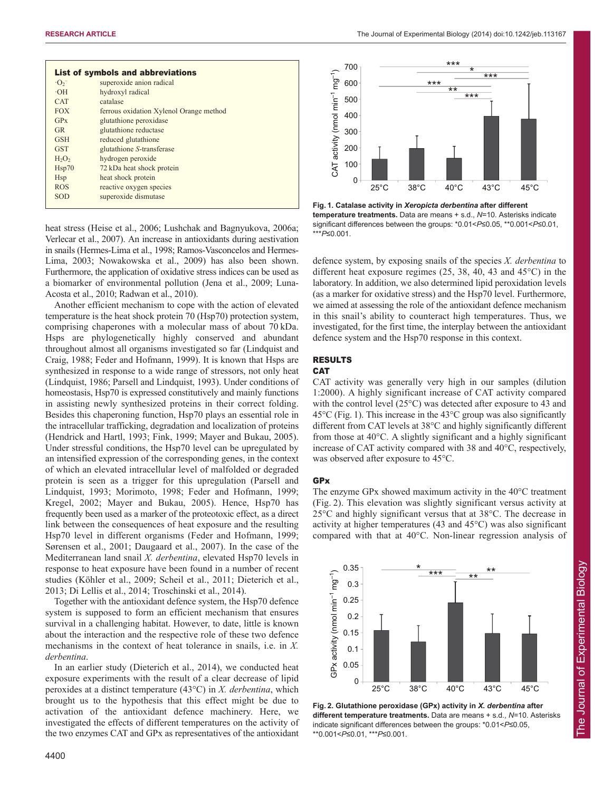| List of symbols and abbreviations   |                                         |
|-------------------------------------|-----------------------------------------|
| $\cdot$ O <sub>2</sub> <sup>-</sup> | superoxide anion radical                |
| $-OH$                               | hydroxyl radical                        |
| <b>CAT</b>                          | catalase                                |
| <b>FOX</b>                          | ferrous oxidation Xylenol Orange method |
| GPx                                 | glutathione peroxidase                  |
| <b>GR</b>                           | glutathione reductase                   |
| <b>GSH</b>                          | reduced glutathione                     |
| <b>GST</b>                          | glutathione S-transferase               |
| H <sub>2</sub> O <sub>2</sub>       | hydrogen peroxide                       |
| Hsp70                               | 72 kDa heat shock protein               |
| <b>H</b> sp                         | heat shock protein                      |
| <b>ROS</b>                          | reactive oxygen species                 |
| SOD                                 | superoxide dismutase                    |
|                                     |                                         |

heat stress (Heise et al., 2006; Lushchak and Bagnyukova, 2006a; Verlecar et al., 2007). An increase in antioxidants during aestivation in snails (Hermes-Lima et al., 1998; Ramos-Vasconcelos and Hermes-Lima, 2003; Nowakowska et al., 2009) has also been shown. Furthermore, the application of oxidative stress indices can be used as a biomarker of environmental pollution (Jena et al., 2009; Luna-Acosta et al., 2010; Radwan et al., 2010).

Another efficient mechanism to cope with the action of elevated temperature is the heat shock protein 70 (Hsp70) protection system, comprising chaperones with a molecular mass of about 70 kDa. Hsps are phylogenetically highly conserved and abundant throughout almost all organisms investigated so far (Lindquist and Craig, 1988; Feder and Hofmann, 1999). It is known that Hsps are synthesized in response to a wide range of stressors, not only heat (Lindquist, 1986; Parsell and Lindquist, 1993). Under conditions of homeostasis, Hsp70 is expressed constitutively and mainly functions in assisting newly synthesized proteins in their correct folding. Besides this chaperoning function, Hsp70 plays an essential role in the intracellular trafficking, degradation and localization of proteins (Hendrick and Hartl, 1993; Fink, 1999; Mayer and Bukau, 2005). Under stressful conditions, the Hsp70 level can be upregulated by an intensified expression of the corresponding genes, in the context of which an elevated intracellular level of malfolded or degraded protein is seen as a trigger for this upregulation (Parsell and Lindquist, 1993; Morimoto, 1998; Feder and Hofmann, 1999; Kregel, 2002; Mayer and Bukau, 2005). Hence, Hsp70 has frequently been used as a marker of the proteotoxic effect, as a direct link between the consequences of heat exposure and the resulting Hsp70 level in different organisms (Feder and Hofmann, 1999; Sørensen et al., 2001; Daugaard et al., 2007). In the case of the Mediterranean land snail *X. derbentina*, elevated Hsp70 levels in response to heat exposure have been found in a number of recent studies (Köhler et al., 2009; Scheil et al., 2011; Dieterich et al., 2013; Di Lellis et al., 2014; Troschinski et al., 2014).

Together with the antioxidant defence system, the Hsp70 defence system is supposed to form an efficient mechanism that ensures survival in a challenging habitat. However, to date, little is known about the interaction and the respective role of these two defence mechanisms in the context of heat tolerance in snails, i.e. in *X. derbentina*.

In an earlier study (Dieterich et al., 2014), we conducted heat exposure experiments with the result of a clear decrease of lipid peroxides at a distinct temperature (43°C) in *X. derbentina*, which brought us to the hypothesis that this effect might be due to activation of the antioxidant defence machinery. Here, we investigated the effects of different temperatures on the activity of the two enzymes CAT and GPx as representatives of the antioxidant



**Fig. 1. Catalase activity in** *Xeropicta derbentina* **after different temperature treatments.** Data are means + s.d., *N*=10. Asterisks indicate significant differences between the groups: \*0.01<*P*≤0.05, \*\*0.001<*P*≤0.01, \*\*\**P*≤0.001.

defence system, by exposing snails of the species *X. derbentina* to different heat exposure regimes (25, 38, 40, 43 and 45°C) in the laboratory. In addition, we also determined lipid peroxidation levels (as a marker for oxidative stress) and the Hsp70 level. Furthermore, we aimed at assessing the role of the antioxidant defence mechanism in this snail's ability to counteract high temperatures. Thus, we investigated, for the first time, the interplay between the antioxidant defence system and the Hsp70 response in this context.

# RESULTS

## **CAT**

CAT activity was generally very high in our samples (dilution 1:2000). A highly significant increase of CAT activity compared with the control level (25°C) was detected after exposure to 43 and  $45^{\circ}$ C (Fig. 1). This increase in the  $43^{\circ}$ C group was also significantly different from CAT levels at 38°C and highly significantly different from those at 40°C. A slightly significant and a highly significant increase of CAT activity compared with 38 and 40°C, respectively, was observed after exposure to 45°C.

### GPx

The enzyme GPx showed maximum activity in the 40°C treatment (Fig. 2). This elevation was slightly significant versus activity at 25°C and highly significant versus that at 38°C. The decrease in activity at higher temperatures (43 and 45°C) was also significant compared with that at 40°C. Non-linear regression analysis of



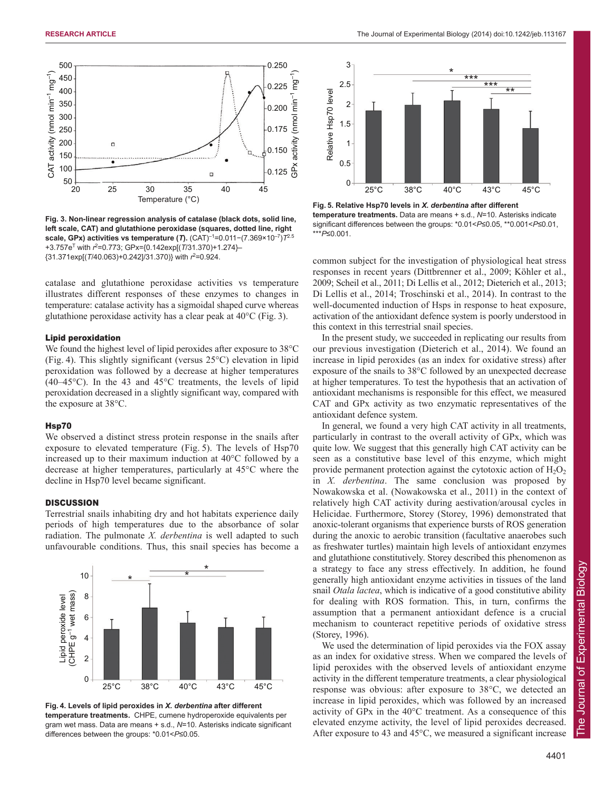

**Fig. 3. Non-linear regression analysis of catalase (black dots, solid line, left scale, CAT) and glutathione peroxidase (squares, dotted line, right scale, GPx) activities vs temperature (***T***).** (CAT)–1=0.011−(7.369×10–7)*T*2.5 +3.757e<sup>T</sup> with  $r^2$ =0.773; GPx={0.142exp[(*T*/31.370)+1.274}-{31.371exp[(*T*/40.063)+0.242]/31.370)} with *r* 2 =0.924.

catalase and glutathione peroxidase activities vs temperature illustrates different responses of these enzymes to changes in temperature: catalase activity has a sigmoidal shaped curve whereas glutathione peroxidase activity has a clear peak at 40°C (Fig. 3).

#### Lipid peroxidation

We found the highest level of lipid peroxides after exposure to 38°C (Fig. 4). This slightly significant (versus 25°C) elevation in lipid peroxidation was followed by a decrease at higher temperatures  $(40-45\degree C)$ . In the 43 and 45<sup>o</sup>C treatments, the levels of lipid peroxidation decreased in a slightly significant way, compared with the exposure at 38°C.

#### Hsp70

We observed a distinct stress protein response in the snails after exposure to elevated temperature (Fig. 5). The levels of Hsp70 increased up to their maximum induction at 40°C followed by a decrease at higher temperatures, particularly at 45°C where the decline in Hsp70 level became significant.

#### **DISCUSSION**

Terrestrial snails inhabiting dry and hot habitats experience daily periods of high temperatures due to the absorbance of solar radiation. The pulmonate *X. derbentina* is well adapted to such unfavourable conditions. Thus, this snail species has become a



**Fig. 4. Levels of lipid peroxides in** *X. derbentina* **after different temperature treatments.** CHPE, cumene hydroperoxide equivalents per gram wet mass. Data are means + s.d., *N*=10. Asterisks indicate significant differences between the groups: \*0.01<*P*≤0.05.



**Fig. 5. Relative Hsp70 levels in** *X. derbentina* **after different temperature treatments.** Data are means + s.d., *N*=10. Asterisks indicate significant differences between the groups: \*0.01<*P*≤0.05, \*\*0.001<*P*≤0.01, \*\*\**P*≤0.001.

common subject for the investigation of physiological heat stress responses in recent years (Dittbrenner et al., 2009; Köhler et al., 2009; Scheil et al., 2011; Di Lellis et al., 2012; Dieterich et al., 2013; Di Lellis et al., 2014; Troschinski et al., 2014). In contrast to the well-documented induction of Hsps in response to heat exposure, activation of the antioxidant defence system is poorly understood in this context in this terrestrial snail species.

In the present study, we succeeded in replicating our results from our previous investigation (Dieterich et al., 2014). We found an increase in lipid peroxides (as an index for oxidative stress) after exposure of the snails to 38°C followed by an unexpected decrease at higher temperatures. To test the hypothesis that an activation of antioxidant mechanisms is responsible for this effect, we measured CAT and GPx activity as two enzymatic representatives of the antioxidant defence system.

In general, we found a very high CAT activity in all treatments, particularly in contrast to the overall activity of GPx, which was quite low. We suggest that this generally high CAT activity can be seen as a constitutive base level of this enzyme, which might provide permanent protection against the cytotoxic action of  $H_2O_2$ in *X. derbentina*. The same conclusion was proposed by Nowakowska et al. (Nowakowska et al., 2011) in the context of relatively high CAT activity during aestivation/arousal cycles in Helicidae. Furthermore, Storey (Storey, 1996) demonstrated that anoxic-tolerant organisms that experience bursts of ROS generation during the anoxic to aerobic transition (facultative anaerobes such as freshwater turtles) maintain high levels of antioxidant enzymes and glutathione constitutively. Storey described this phenomenon as a strategy to face any stress effectively. In addition, he found generally high antioxidant enzyme activities in tissues of the land snail *Otala lactea*, which is indicative of a good constitutive ability for dealing with ROS formation. This, in turn, confirms the assumption that a permanent antioxidant defence is a crucial mechanism to counteract repetitive periods of oxidative stress (Storey, 1996).

We used the determination of lipid peroxides via the FOX assay as an index for oxidative stress. When we compared the levels of lipid peroxides with the observed levels of antioxidant enzyme activity in the different temperature treatments, a clear physiological response was obvious: after exposure to 38°C, we detected an increase in lipid peroxides, which was followed by an increased activity of GPx in the 40°C treatment. As a consequence of this elevated enzyme activity, the level of lipid peroxides decreased. After exposure to 43 and 45°C, we measured a significant increase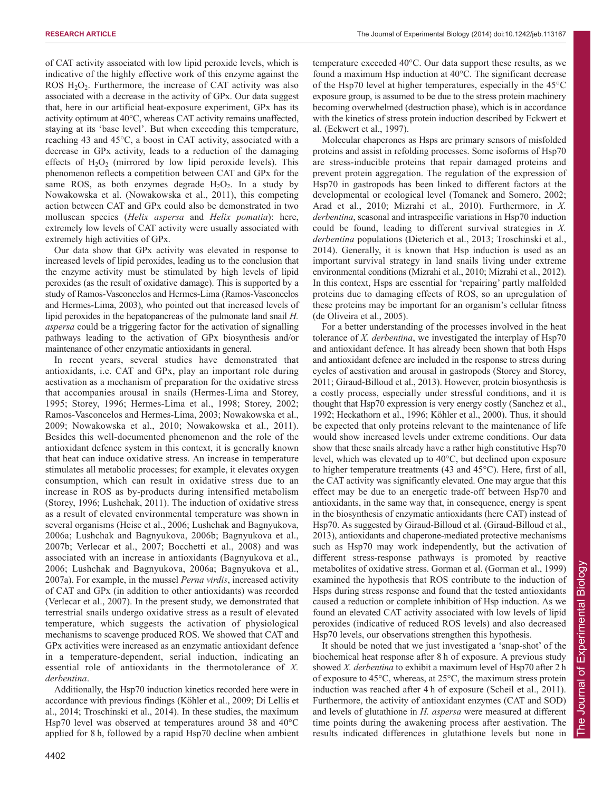of CAT activity associated with low lipid peroxide levels, which is indicative of the highly effective work of this enzyme against the ROS  $H_2O_2$ . Furthermore, the increase of CAT activity was also associated with a decrease in the activity of GPx. Our data suggest that, here in our artificial heat-exposure experiment, GPx has its activity optimum at 40°C, whereas CAT activity remains unaffected, staying at its 'base level'. But when exceeding this temperature, reaching 43 and 45°C, a boost in CAT activity, associated with a decrease in GPx activity, leads to a reduction of the damaging effects of  $H_2O_2$  (mirrored by low lipid peroxide levels). This phenomenon reflects a competition between CAT and GPx for the same ROS, as both enzymes degrade  $H_2O_2$ . In a study by Nowakowska et al. (Nowakowska et al., 2011), this competing action between CAT and GPx could also be demonstrated in two molluscan species (*Helix aspersa* and *Helix pomatia*): here, extremely low levels of CAT activity were usually associated with extremely high activities of GPx.

Our data show that GPx activity was elevated in response to increased levels of lipid peroxides, leading us to the conclusion that the enzyme activity must be stimulated by high levels of lipid peroxides (as the result of oxidative damage). This is supported by a study of Ramos-Vasconcelos and Hermes-Lima (Ramos-Vasconcelos and Hermes-Lima, 2003), who pointed out that increased levels of lipid peroxides in the hepatopancreas of the pulmonate land snail *H. aspersa* could be a triggering factor for the activation of signalling pathways leading to the activation of GPx biosynthesis and/or maintenance of other enzymatic antioxidants in general.

In recent years, several studies have demonstrated that antioxidants, i.e. CAT and GPx, play an important role during aestivation as a mechanism of preparation for the oxidative stress that accompanies arousal in snails (Hermes-Lima and Storey, 1995; Storey, 1996; Hermes-Lima et al., 1998; Storey, 2002; Ramos-Vasconcelos and Hermes-Lima, 2003; Nowakowska et al., 2009; Nowakowska et al., 2010; Nowakowska et al., 2011). Besides this well-documented phenomenon and the role of the antioxidant defence system in this context, it is generally known that heat can induce oxidative stress. An increase in temperature stimulates all metabolic processes; for example, it elevates oxygen consumption, which can result in oxidative stress due to an increase in ROS as by-products during intensified metabolism (Storey, 1996; Lushchak, 2011). The induction of oxidative stress as a result of elevated environmental temperature was shown in several organisms (Heise et al., 2006; Lushchak and Bagnyukova, 2006a; Lushchak and Bagnyukova, 2006b; Bagnyukova et al., 2007b; Verlecar et al., 2007; Bocchetti et al., 2008) and was associated with an increase in antioxidants (Bagnyukova et al., 2006; Lushchak and Bagnyukova, 2006a; Bagnyukova et al., 2007a). For example, in the mussel *Perna virdis*, increased activity of CAT and GPx (in addition to other antioxidants) was recorded (Verlecar et al., 2007). In the present study, we demonstrated that terrestrial snails undergo oxidative stress as a result of elevated temperature, which suggests the activation of physiological mechanisms to scavenge produced ROS. We showed that CAT and GPx activities were increased as an enzymatic antioxidant defence in a temperature-dependent, serial induction, indicating an essential role of antioxidants in the thermotolerance of *X. derbentina*.

Additionally, the Hsp70 induction kinetics recorded here were in accordance with previous findings (Köhler et al., 2009; Di Lellis et al., 2014; Troschinski et al., 2014). In these studies, the maximum Hsp70 level was observed at temperatures around 38 and 40°C applied for 8 h, followed by a rapid Hsp70 decline when ambient temperature exceeded 40°C. Our data support these results, as we found a maximum Hsp induction at 40°C. The significant decrease of the Hsp70 level at higher temperatures, especially in the 45°C exposure group, is assumed to be due to the stress protein machinery becoming overwhelmed (destruction phase), which is in accordance with the kinetics of stress protein induction described by Eckwert et al. (Eckwert et al., 1997).

Molecular chaperones as Hsps are primary sensors of misfolded proteins and assist in refolding processes. Some isoforms of Hsp70 are stress-inducible proteins that repair damaged proteins and prevent protein aggregation. The regulation of the expression of Hsp70 in gastropods has been linked to different factors at the developmental or ecological level (Tomanek and Somero, 2002; Arad et al., 2010; Mizrahi et al., 2010). Furthermore, in *X. derbentina*, seasonal and intraspecific variations in Hsp70 induction could be found, leading to different survival strategies in *X. derbentina* populations (Dieterich et al., 2013; Troschinski et al., 2014). Generally, it is known that Hsp induction is used as an important survival strategy in land snails living under extreme environmental conditions (Mizrahi et al., 2010; Mizrahi et al., 2012). In this context, Hsps are essential for 'repairing' partly malfolded proteins due to damaging effects of ROS, so an upregulation of these proteins may be important for an organism's cellular fitness (de Oliveira et al., 2005).

For a better understanding of the processes involved in the heat tolerance of *X. derbentina*, we investigated the interplay of Hsp70 and antioxidant defence. It has already been shown that both Hsps and antioxidant defence are included in the response to stress during cycles of aestivation and arousal in gastropods (Storey and Storey, 2011; Giraud-Billoud et al., 2013). However, protein biosynthesis is a costly process, especially under stressful conditions, and it is thought that Hsp70 expression is very energy costly (Sanchez et al., 1992; Heckathorn et al., 1996; Köhler et al., 2000). Thus, it should be expected that only proteins relevant to the maintenance of life would show increased levels under extreme conditions. Our data show that these snails already have a rather high constitutive Hsp70 level, which was elevated up to 40°C, but declined upon exposure to higher temperature treatments (43 and 45°C). Here, first of all, the CAT activity was significantly elevated. One may argue that this effect may be due to an energetic trade-off between Hsp70 and antioxidants, in the same way that, in consequence, energy is spent in the biosynthesis of enzymatic antioxidants (here CAT) instead of Hsp70. As suggested by Giraud-Billoud et al. (Giraud-Billoud et al., 2013), antioxidants and chaperone-mediated protective mechanisms such as Hsp70 may work independently, but the activation of different stress-response pathways is promoted by reactive metabolites of oxidative stress. Gorman et al. (Gorman et al., 1999) examined the hypothesis that ROS contribute to the induction of Hsps during stress response and found that the tested antioxidants caused a reduction or complete inhibition of Hsp induction. As we found an elevated CAT activity associated with low levels of lipid peroxides (indicative of reduced ROS levels) and also decreased Hsp70 levels, our observations strengthen this hypothesis.

It should be noted that we just investigated a 'snap-shot' of the biochemical heat response after 8 h of exposure. A previous study showed *X. derbentina* to exhibit a maximum level of Hsp70 after 2 h of exposure to 45°C, whereas, at 25°C, the maximum stress protein induction was reached after 4 h of exposure (Scheil et al., 2011). Furthermore, the activity of antioxidant enzymes (CAT and SOD) and levels of glutathione in *H. aspersa* were measured at different time points during the awakening process after aestivation. The results indicated differences in glutathione levels but none in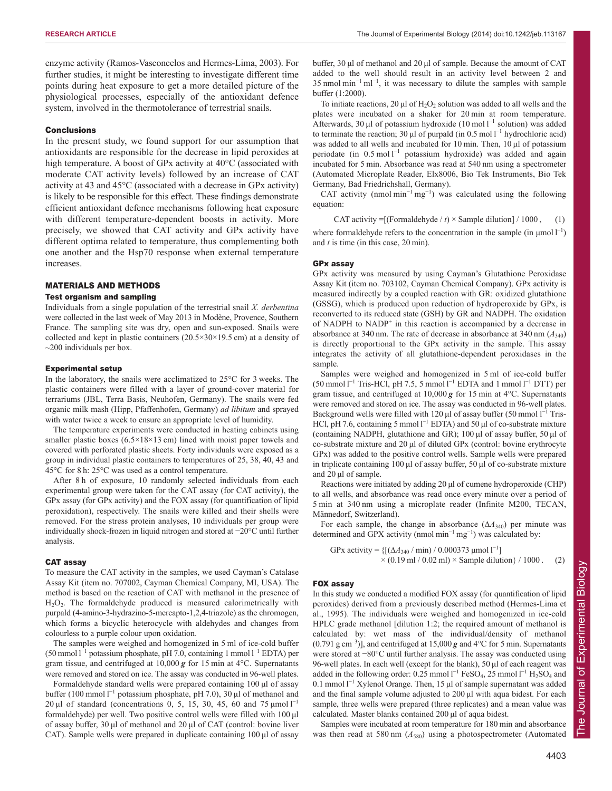enzyme activity (Ramos-Vasconcelos and Hermes-Lima, 2003). For further studies, it might be interesting to investigate different time points during heat exposure to get a more detailed picture of the physiological processes, especially of the antioxidant defence system, involved in the thermotolerance of terrestrial snails.

#### Conclusions

In the present study, we found support for our assumption that antioxidants are responsible for the decrease in lipid peroxides at high temperature. A boost of GPx activity at 40°C (associated with moderate CAT activity levels) followed by an increase of CAT activity at 43 and 45°C (associated with a decrease in GPx activity) is likely to be responsible for this effect. These findings demonstrate efficient antioxidant defence mechanisms following heat exposure with different temperature-dependent boosts in activity. More precisely, we showed that CAT activity and GPx activity have different optima related to temperature, thus complementing both one another and the Hsp70 response when external temperature increases.

#### MATERIALS AND METHODS

#### Test organism and sampling

Individuals from a single population of the terrestrial snail *X. derbentina* were collected in the last week of May 2013 in Modène, Provence, Southern France. The sampling site was dry, open and sun-exposed. Snails were collected and kept in plastic containers  $(20.5 \times 30 \times 19.5 \text{ cm})$  at a density of  $\sim$ 200 individuals per box.

#### Experimental setup

In the laboratory, the snails were acclimatized to 25°C for 3 weeks. The plastic containers were filled with a layer of ground-cover material for terrariums (JBL, Terra Basis, Neuhofen, Germany). The snails were fed organic milk mash (Hipp, Pfaffenhofen, Germany) *ad libitum* and sprayed with water twice a week to ensure an appropriate level of humidity.

The temperature experiments were conducted in heating cabinets using smaller plastic boxes  $(6.5 \times 18 \times 13$  cm) lined with moist paper towels and covered with perforated plastic sheets. Forty individuals were exposed as a group in individual plastic containers to temperatures of 25, 38, 40, 43 and 45°C for 8 h: 25°C was used as a control temperature.

After 8 h of exposure, 10 randomly selected individuals from each experimental group were taken for the CAT assay (for CAT activity), the GPx assay (for GPx activity) and the FOX assay (for quantification of lipid peroxidation), respectively. The snails were killed and their shells were removed. For the stress protein analyses, 10 individuals per group were individually shock-frozen in liquid nitrogen and stored at −20°C until further analysis.

#### CAT assay

To measure the CAT activity in the samples, we used Cayman's Catalase Assay Kit (item no. 707002, Cayman Chemical Company, MI, USA). The method is based on the reaction of CAT with methanol in the presence of H2O2. The formaldehyde produced is measured calorimetrically with purpald (4-amino-3-hydrazino-5-mercapto-1,2,4-triazole) as the chromogen, which forms a bicyclic heterocycle with aldehydes and changes from colourless to a purple colour upon oxidation.

The samples were weighed and homogenized in 5 ml of ice-cold buffer  $(50 \text{ mmol } l^{-1}$  potassium phosphate, pH 7.0, containing 1 mmol  $l^{-1}$  EDTA) per gram tissue, and centrifuged at 10,000 *g* for 15 min at 4°C. Supernatants were removed and stored on ice. The assay was conducted in 96-well plates.

Formaldehyde standard wells were prepared containing 100 μl of assay buffer (100 mmol  $l^{-1}$  potassium phosphate, pH 7.0), 30 µl of methanol and 20 μl of standard (concentrations 0, 5, 15, 30, 45, 60 and 75 μmol  $l^{-1}$ formaldehyde) per well. Two positive control wells were filled with 100 μl of assay buffer, 30 μl of methanol and 20 μl of CAT (control: bovine liver CAT). Sample wells were prepared in duplicate containing 100 μl of assay

buffer, 30 μl of methanol and 20 μl of sample. Because the amount of CAT added to the well should result in an activity level between 2 and 35 nmol min<sup>-1</sup> ml<sup>-1</sup>, it was necessary to dilute the samples with sample buffer (1:2000).

To initiate reactions, 20  $\mu$ l of H<sub>2</sub>O<sub>2</sub> solution was added to all wells and the plates were incubated on a shaker for 20 min at room temperature. Afterwards, 30 µl of potassium hydroxide  $(10 \text{ mol } l^{-1}$  solution) was added to terminate the reaction; 30  $\mu$ l of purpald (in 0.5 mol l<sup>-1</sup> hydrochloric acid) was added to all wells and incubated for 10 min. Then, 10 μl of potassium periodate (in 0.5 mol l<sup>-1</sup> potassium hydroxide) was added and again incubated for 5 min. Absorbance was read at 540 nm using a spectrometer (Automated Microplate Reader, Elx8006, Bio Tek Instruments, Bio Tek Germany, Bad Friedrichshall, Germany).

CAT activity (nmol min<sup>-1</sup> mg<sup>-1</sup>) was calculated using the following equation:

CAT activity = [(Formaldehyde  $/t$ ) × Sample dilution]  $/ 1000$ , (1)

where formaldehyde refers to the concentration in the sample (in  $\mu$ mol l<sup>-1</sup>) and *t* is time (in this case, 20 min).

#### GPx assay

GPx activity was measured by using Cayman's Glutathione Peroxidase Assay Kit (item no. 703102, Cayman Chemical Company). GPx activity is measured indirectly by a coupled reaction with GR: oxidized glutathione (GSSG), which is produced upon reduction of hydroperoxide by GPx, is reconverted to its reduced state (GSH) by GR and NADPH. The oxidation of NADPH to NADP<sup>+</sup> in this reaction is accompanied by a decrease in absorbance at 340 nm. The rate of decrease in absorbance at 340 nm (*A*340) is directly proportional to the GPx activity in the sample. This assay integrates the activity of all glutathione-dependent peroxidases in the sample.

Samples were weighed and homogenized in 5 ml of ice-cold buffer  $(50 \text{ mmol l}^{-1}$  Tris-HCl, pH 7.5, 5 mmol  $l^{-1}$  EDTA and 1 mmol  $l^{-1}$  DTT) per gram tissue, and centrifuged at 10,000 *g* for 15 min at 4°C. Supernatants were removed and stored on ice. The assay was conducted in 96-well plates. Background wells were filled with 120 µl of assay buffer (50 mmol  $l^{-1}$  Tris-HCl, pH 7.6, containing 5 mmol  $I^{-1}$  EDTA) and 50 µl of co-substrate mixture (containing NADPH, glutathione and GR); 100 μl of assay buffer, 50 μl of co-substrate mixture and 20 μl of diluted GPx (control: bovine erythrocyte GPx) was added to the positive control wells. Sample wells were prepared in triplicate containing 100 μl of assay buffer, 50 μl of co-substrate mixture and 20 μl of sample.

Reactions were initiated by adding 20 μl of cumene hydroperoxide (CHP) to all wells, and absorbance was read once every minute over a period of 5 min at 340 nm using a microplate reader (Infinite M200, TECAN, Männedorf, Switzerland).

For each sample, the change in absorbance  $(\Delta A_{340})$  per minute was determined and GPX activity (nmol min<sup>-1</sup> mg<sup>-1</sup>) was calculated by:

GPx activity = { $[(\Delta A_{340} / \text{min}) / 0.000373 \text{ \mu} \text{mol}]^{-1}$ ]  $\times$  (0.19 ml / 0.02 ml)  $\times$  Sample dilution} / 1000 . (2)

#### FOX assay

In this study we conducted a modified FOX assay (for quantification of lipid peroxides) derived from a previously described method (Hermes-Lima et al., 1995). The individuals were weighed and homogenized in ice-cold HPLC grade methanol [dilution 1:2; the required amount of methanol is calculated by: wet mass of the individual/density of methanol  $(0.791 \text{ g cm}^{-3})$ ], and centrifuged at  $15,000 \text{ g}$  and  $4^{\circ}$ C for 5 min. Supernatants were stored at −80°C until further analysis. The assay was conducted using 96-well plates. In each well (except for the blank), 50 μl of each reagent was added in the following order: 0.25 mmol  $I^{-1}$  FeSO<sub>4</sub>, 25 mmol  $I^{-1}$  H<sub>2</sub>SO<sub>4</sub> and 0.1 mmol l<sup>-1</sup> Xylenol Orange. Then, 15 μl of sample supernatant was added and the final sample volume adjusted to 200 μl with aqua bidest. For each sample, three wells were prepared (three replicates) and a mean value was calculated. Master blanks contained 200 μl of aqua bidest.

Samples were incubated at room temperature for 180 min and absorbance was then read at 580 nm  $(A_{580})$  using a photospectrometer (Automated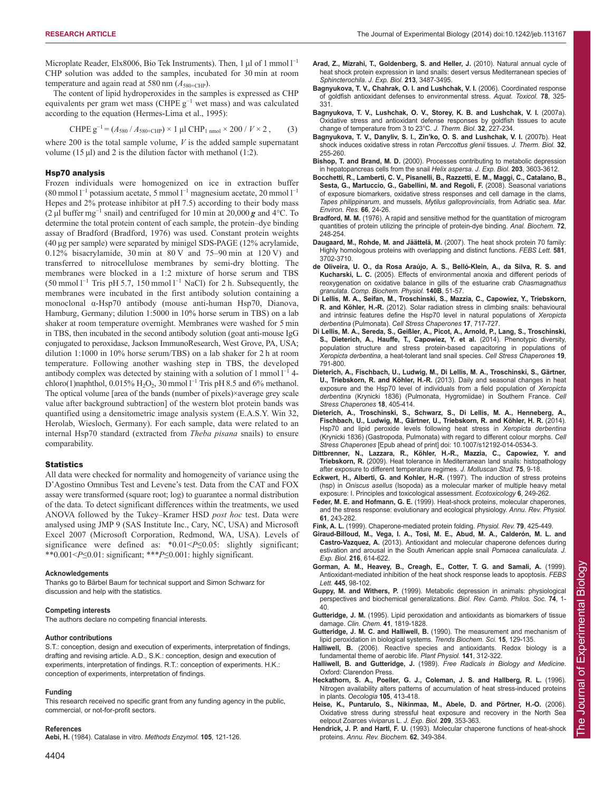Microplate Reader, Elx8006, Bio Tek Instruments). Then, 1 μl of 1 mmol l<sup>-1</sup> CHP solution was added to the samples, incubated for 30 min at room temperature and again read at 580 nm  $(A_{580+CHP})$ .

The content of lipid hydroperoxides in the samples is expressed as CHP equivalents per gram wet mass (CHPE g<sup>−</sup><sup>1</sup> wet mass) and was calculated according to the equation (Hermes-Lima et al., 1995):

$$
CHPE g^{-1} = (A_{580} / A_{580 + CHP}) \times 1 \text{ µl } CHP_{1 \text{ nmol}} \times 200 / V \times 2 , \qquad (3)
$$

where 200 is the total sample volume, *V* is the added sample supernatant volume (15 μl) and 2 is the dilution factor with methanol (1:2).

#### Hsp70 analysis

Frozen individuals were homogenized on ice in extraction buffer  $(80 \text{ mmol } l^{-1}$  potassium acetate, 5 mmol  $l^{-1}$  magnesium acetate, 20 mmol  $l^{-1}$ Hepes and 2% protease inhibitor at pH 7.5) according to their body mass (2 μl buffer mg<sup>−</sup><sup>1</sup> snail) and centrifuged for 10 min at 20,000 *g* and 4°C. To determine the total protein content of each sample, the protein–dye binding assay of Bradford (Bradford, 1976) was used. Constant protein weights (40 μg per sample) were separated by minigel SDS-PAGE (12% acrylamide, 0.12% bisacrylamide, 30 min at 80 V and 75–90 min at 120 V) and transferred to nitrocellulose membranes by semi-dry blotting. The membranes were blocked in a 1:2 mixture of horse serum and TBS  $(50 \text{ mmol } 1^{-1}$  Tris pH 5.7, 150 mmol  $1^{-1}$  NaCl) for 2 h. Subsequently, the membranes were incubated in the first antibody solution containing a monoclonal α-Hsp70 antibody (mouse anti-human Hsp70, Dianova, Hamburg, Germany; dilution 1:5000 in 10% horse serum in TBS) on a lab shaker at room temperature overnight. Membranes were washed for 5 min in TBS, then incubated in the second antibody solution (goat anti-mouse IgG conjugated to peroxidase, Jackson ImmunoResearch, West Grove, PA, USA; dilution 1:1000 in 10% horse serum/TBS) on a lab shaker for 2 h at room temperature. Following another washing step in TBS, the developed antibody complex was detected by staining with a solution of 1 mmol  $I^{-1}$  4chloro(1)naphthol,  $0.015\%$  H<sub>2</sub>O<sub>2</sub>, 30 mmol l<sup>-1</sup> Tris pH 8.5 and 6% methanol. The optical volume [area of the bands (number of pixels)×average grey scale value after background subtraction] of the western blot protein bands was quantified using a densitometric image analysis system (E.A.S.Y. Win 32, Herolab, Wiesloch, Germany). For each sample, data were related to an internal Hsp70 standard (extracted from *Theba pisana* snails) to ensure comparability.

#### **Statistics**

All data were checked for normality and homogeneity of variance using the D'Agostino Omnibus Test and Levene's test. Data from the CAT and FOX assay were transformed (square root; log) to guarantee a normal distribution of the data. To detect significant differences within the treatments, we used ANOVA followed by the Tukey–Kramer HSD *post hoc* test. Data were analysed using JMP 9 (SAS Institute Inc., Cary, NC, USA) and Microsoft Excel 2007 (Microsoft Corporation, Redmond, WA, USA). Levels of significance were defined as: \*0.01<*P*≤0.05: slightly significant; \*\*0.001<*P*≤0.01: significant; \*\*\**P*≤0.001: highly significant.

#### **Acknowledgements**

Thanks go to Bärbel Baum for technical support and Simon Schwarz for discussion and help with the statistics.

#### **Competing interests**

The authors declare no competing financial interests.

#### **Author contributions**

S.T.: conception, design and execution of experiments, interpretation of findings, drafting and revising article. A.D., S.K.: conception, design and execution of experiments, interpretation of findings. R.T.: conception of experiments. H.K.: conception of experiments, interpretation of findings.

#### **Funding**

This research received no specific grant from any funding agency in the public, commercial, or not-for-profit sectors.

#### **References**

**Aebi, H.** (1984). Catalase in vitro. *Methods Enzymol.* **105**, 121-126.

- **Arad, Z., Mizrahi, T., Goldenberg, S. and Heller, J.** (2010). Natural annual cycle of heat shock protein expression in land snails: desert versus Mediterranean species of *Sphincterochila*. *J. Exp. Biol.* **213**, 3487-3495.
- **Bagnyukova, T. V., Chahrak, O. I. and Lushchak, V. I.** (2006). Coordinated response of goldfish antioxidant defenses to environmental stress. *Aquat. Toxicol.* **78**, 325- 331.
- **Bagnyukova, T. V., Lushchak, O. V., Storey, K. B. and Lushchak, V. I.** (2007a). Oxidative stress and antioxidant defense responses by goldfish tissues to acute change of temperature from 3 to 23°C. *J. Therm. Biol.* **32**, 227-234.
- **Bagnyukova, T. V., Danyliv, S. I., Zin'ko, O. S. and Lushchak, V. I.** (2007b). Heat shock induces oxidative stress in rotan *Perccottus glenii* tissues. *J. Therm. Biol.* **32**, 255-260.
- **Bishop, T. and Brand, M. D.** (2000). Processes contributing to metabolic depression in hepatopancreas cells from the snail *Helix aspersa*. *J. Exp. Biol.* **203**, 3603-3612.
- **Bocchetti, R., Lamberti, C. V., Pisanelli, B., Razzetti, E. M., Maggi, C., Catalano, B., Sesta, G., Martuccio, G., Gabellini, M. and Regoli, F.** (2008). Seasonal variations of exposure biomarkers, oxidative stress responses and cell damage in the clams, *Tapes philippinarum*, and mussels, *Mytilus galloprovincialis*, from Adriatic sea. *Mar. Environ. Res.* **66**, 24-26.
- **Bradford, M. M.** (1976). A rapid and sensitive method for the quantitation of microgram quantities of protein utilizing the principle of protein-dye binding. *Anal. Biochem.* **72**, 248-254.
- **Daugaard, M., Rohde, M. and Jäättelä, M.** (2007). The heat shock protein 70 family: Highly homologous proteins with overlapping and distinct functions. *FEBS Lett.* **581**, 3702-3710.
- **de Oliveira, U. O., da Rosa Araújo, A. S., Belló-Klein, A., da Silva, R. S. and Kucharski, L. C.** (2005). Effects of environmental anoxia and different periods of reoxygenation on oxidative balance in gills of the estuarine crab *Chasmagnathus granulata*. *Comp. Biochem. Physiol.* **140B**, 51-57.
- **Di Lellis, M. A., Seifan, M., Troschinski, S., Mazzia, C., Capowiez, Y., Triebskorn, R. and Köhler, H.-R.** (2012). Solar radiation stress in climbing snails: behavioural and intrinsic features define the Hsp70 level in natural populations of *Xeropicta derbentina* (Pulmonata). *Cell Stress Chaperones* **17**, 717-727.
- **Di Lellis, M. A., Sereda, S., Geißler, A., Picot, A., Arnold, P., Lang, S., Troschinski, S., Dieterich, A., Hauffe, T., Capowiez, Y. et al.** (2014). Phenotypic diversity, population structure and stress protein-based capacitoring in populations of *Xeropicta derbentina*, a heat-tolerant land snail species. *Cell Stress Chaperones* **19**, 791-800.
- **Dieterich, A., Fischbach, U., Ludwig, M., Di Lellis, M. A., Troschinski, S., Gärtner, U., Triebskorn, R. and Köhler, H.-R.** (2013). Daily and seasonal changes in heat exposure and the Hsp70 level of individuals from a field population of *Xeropicta derbentina* (Krynicki 1836) (Pulmonata, Hygromiidae) in Southern France. *Cell Stress Chaperones* **18**, 405-414.
- **Dieterich, A., Troschinski, S., Schwarz, S., Di Lellis, M. A., Henneberg, A., Fischbach, U., Ludwig, M., Gärtner, U., Triebskorn, R. and Köhler, H. R.** (2014). Hsp70 and lipid peroxide levels following heat stress in *Xeropicta derbentina* (Krynicki 1836) (Gastropoda, Pulmonata) with regard to different colour morphs. *Cell Stress Chaperones* [Epub ahead of print] doi: 10.1007/s12192-014-0534-3.
- **Dittbrenner, N., Lazzara, R., Köhler, H.-R., Mazzia, C., Capowiez, Y. and Triebskorn, R.** (2009). Heat tolerance in Mediterranean land snails: histopathology after exposure to different temperature regimes. *J. Molluscan Stud.* **75**, 9-18.
- **Eckwert, H., Alberti, G. and Kohler, H.-R.** (1997). The induction of stress proteins (hsp) in *Oniscus asellus* (Isopoda) as a molecular marker of multiple heavy metal exposure: I. Principles and toxicological assessment. *Ecotoxicology* **6**, 249-262.
- **Feder, M. E. and Hofmann, G. E.** (1999). Heat-shock proteins, molecular chaperones, and the stress response: evolutionary and ecological physiology. *Annu. Rev. Physiol.* **61**, 243-282.
- **Fink, A. L.** (1999). Chaperone-mediated protein folding. *Physiol. Rev.* **79**, 425-449.
- **Giraud-Billoud, M., Vega, I. A., Tosi, M. E., Abud, M. A., Calderón, M. L. and Castro-Vazquez, A.** (2013). Antioxidant and molecular chaperone defences during estivation and arousal in the South American apple snail *Pomacea canaliculata*. *J. Exp. Biol.* **216**, 614-622.
- **Gorman, A. M., Heavey, B., Creagh, E., Cotter, T. G. and Samali, A.** (1999). Antioxidant-mediated inhibition of the heat shock response leads to apoptosis. *FEBS Lett.* **445**, 98-102.
- **Guppy, M. and Withers, P.** (1999). Metabolic depression in animals: physiological perspectives and biochemical generalizations. *Biol. Rev. Camb. Philos. Soc.* **74**, 1- 40.
- **Gutteridge, J. M.** (1995). Lipid peroxidation and antioxidants as biomarkers of tissue damage. *Clin. Chem.* **41**, 1819-1828.
- **Gutteridge, J. M. C. and Halliwell, B.** (1990). The measurement and mechanism of lipid peroxidation in biological systems. *Trends Biochem. Sci.* **15**, 129-135.
- **Halliwell, B.** (2006). Reactive species and antioxidants. Redox biology is a fundamental theme of aerobic life. *Plant Physiol.* **141**, 312-322.
- **Halliwell, B. and Gutteridge, J.** (1989). *Free Radicals in Biology and Medicine*. Oxford: Clarendon Press.
- **Heckathorn, S. A., Poeller, G. J., Coleman, J. S. and Hallberg, R. L.** (1996). Nitrogen availability alters patterns of accumulation of heat stress-induced proteins in plants. *Oecologia* **105**, 413-418.
- **Heise, K., Puntarulo, S., Nikinmaa, M., Abele, D. and Pörtner, H.-O.** (2006). Oxidative stress during stressful heat exposure and recovery in the North Sea eelpout Zoarces viviparus L. *J. Exp. Biol.* **209**, 353-363.
- **Hendrick, J. P. and Hartl, F. U.** (1993). Molecular chaperone functions of heat-shock proteins. *Annu. Rev. Biochem.* **62**, 349-384.